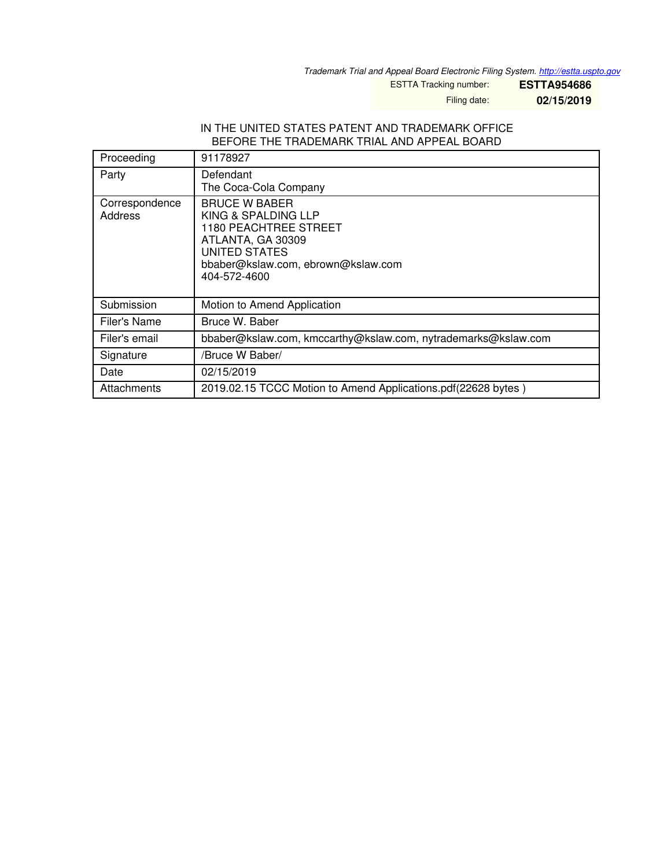*Trademark Trial and Appeal Board Electronic Filing System. <http://estta.uspto.gov>*

ESTTA Tracking number: **ESTTA954686**

Filing date: **02/15/2019**

#### IN THE UNITED STATES PATENT AND TRADEMARK OFFICE BEFORE THE TRADEMARK TRIAL AND APPEAL BOARD

| Proceeding                | 91178927                                                                                                                                                                       |
|---------------------------|--------------------------------------------------------------------------------------------------------------------------------------------------------------------------------|
| Party                     | Defendant<br>The Coca-Cola Company                                                                                                                                             |
| Correspondence<br>Address | <b>BRUCE W BABER</b><br>KING & SPALDING LLP<br><b>1180 PEACHTREE STREET</b><br>ATLANTA, GA 30309<br><b>UNITED STATES</b><br>bbaber@kslaw.com, ebrown@kslaw.com<br>404-572-4600 |
| Submission                | Motion to Amend Application                                                                                                                                                    |
| Filer's Name              | Bruce W. Baber                                                                                                                                                                 |
| Filer's email             | bbaber@kslaw.com, kmccarthy@kslaw.com, nytrademarks@kslaw.com                                                                                                                  |
| Signature                 | /Bruce W Baber/                                                                                                                                                                |
| Date                      | 02/15/2019                                                                                                                                                                     |
| Attachments               | 2019.02.15 TCCC Motion to Amend Applications.pdf(22628 bytes)                                                                                                                  |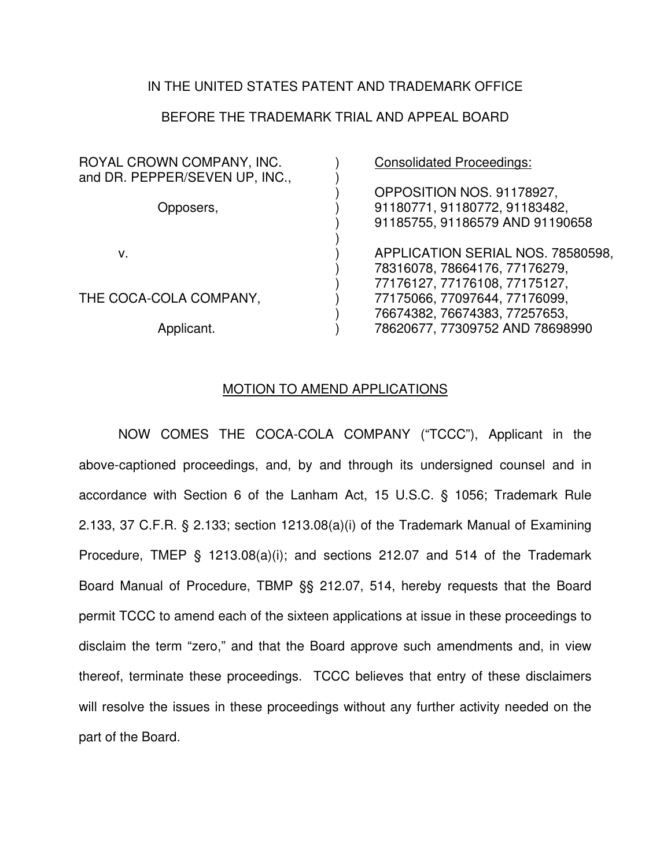### IN THE UNITED STATES PATENT AND TRADEMARK OFFICE

## BEFORE THE TRADEMARK TRIAL AND APPEAL BOARD

| ROYAL CROWN COMPANY, INC.<br>and DR. PEPPER/SEVEN UP, INC., | <b>Consolidated Proceedings:</b>                                                                |
|-------------------------------------------------------------|-------------------------------------------------------------------------------------------------|
| Opposers,                                                   | OPPOSITION NOS. 91178927,<br>91180771, 91180772, 91183482,<br>91185755, 91186579 AND 91190658   |
| ν.                                                          | APPLICATION SERIAL NOS. 78580598,                                                               |
| THE COCA-COLA COMPANY,                                      | 78316078, 78664176, 77176279,<br>77176127, 77176108, 77175127,<br>77175066, 77097644, 77176099, |
| Applicant.                                                  | 76674382, 76674383, 77257653,<br>78620677, 77309752 AND 78698990                                |

#### MOTION TO AMEND APPLICATIONS

NOW COMES THE COCA-COLA COMPANY ("TCCC"), Applicant in the above-captioned proceedings, and, by and through its undersigned counsel and in accordance with Section 6 of the Lanham Act, 15 U.S.C. § 1056; Trademark Rule 2.133, 37 C.F.R. § 2.133; section 1213.08(a)(i) of the Trademark Manual of Examining Procedure, TMEP § 1213.08(a)(i); and sections 212.07 and 514 of the Trademark Board Manual of Procedure, TBMP §§ 212.07, 514, hereby requests that the Board permit TCCC to amend each of the sixteen applications at issue in these proceedings to disclaim the term "zero," and that the Board approve such amendments and, in view thereof, terminate these proceedings. TCCC believes that entry of these disclaimers will resolve the issues in these proceedings without any further activity needed on the part of the Board.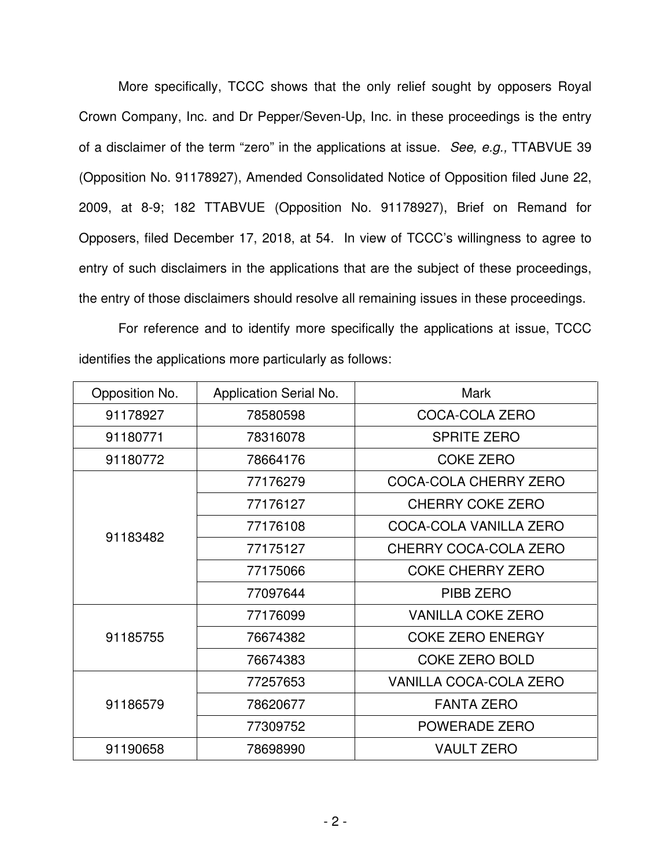More specifically, TCCC shows that the only relief sought by opposers Royal Crown Company, Inc. and Dr Pepper/Seven-Up, Inc. in these proceedings is the entry of a disclaimer of the term "zero" in the applications at issue. *See, e.g.,* TTABVUE 39 (Opposition No. 91178927), Amended Consolidated Notice of Opposition filed June 22, 2009, at 8-9; 182 TTABVUE (Opposition No. 91178927), Brief on Remand for Opposers, filed December 17, 2018, at 54. In view of TCCC's willingness to agree to entry of such disclaimers in the applications that are the subject of these proceedings, the entry of those disclaimers should resolve all remaining issues in these proceedings.

For reference and to identify more specifically the applications at issue, TCCC identifies the applications more particularly as follows:

| Opposition No. | Application Serial No. | <b>Mark</b>                   |
|----------------|------------------------|-------------------------------|
| 91178927       | 78580598               | COCA-COLA ZERO                |
| 91180771       | 78316078               | <b>SPRITE ZERO</b>            |
| 91180772       | 78664176               | <b>COKE ZERO</b>              |
|                | 77176279               | COCA-COLA CHERRY ZERO         |
|                | 77176127               | <b>CHERRY COKE ZERO</b>       |
|                | 77176108               | COCA-COLA VANILLA ZERO        |
| 91183482       | 77175127               | CHERRY COCA-COLA ZERO         |
|                | 77175066               | <b>COKE CHERRY ZERO</b>       |
|                | 77097644               | PIBB ZERO                     |
|                | 77176099               | <b>VANILLA COKE ZERO</b>      |
| 91185755       | 76674382               | <b>COKE ZERO ENERGY</b>       |
|                | 76674383               | <b>COKE ZERO BOLD</b>         |
|                | 77257653               | <b>VANILLA COCA-COLA ZERO</b> |
| 91186579       | 78620677               | <b>FANTA ZERO</b>             |
|                | 77309752               | POWERADE ZERO                 |
| 91190658       | 78698990               | <b>VAULT ZERO</b>             |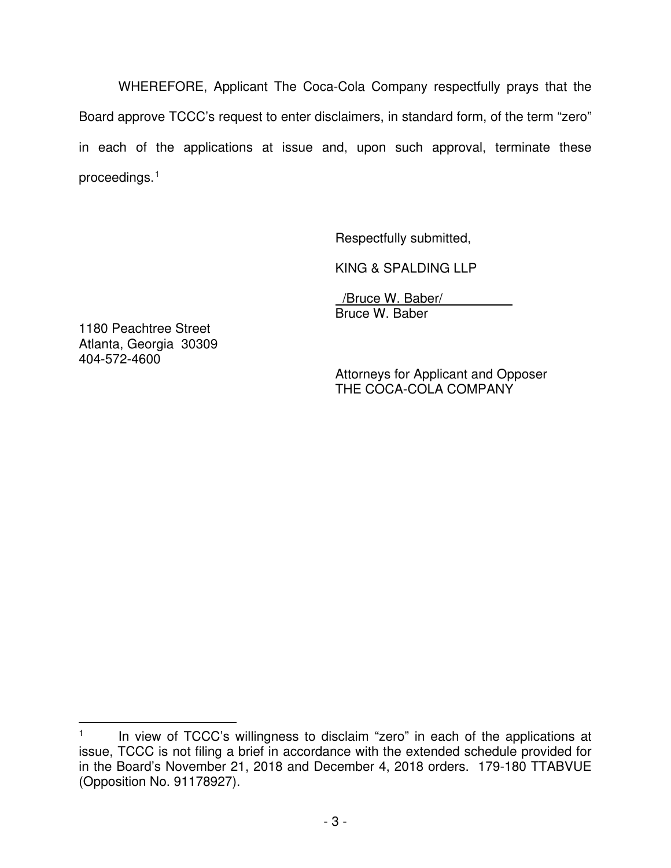WHEREFORE, Applicant The Coca-Cola Company respectfully prays that the Board approve TCCC's request to enter disclaimers, in standard form, of the term "zero" in each of the applications at issue and, upon such approval, terminate these proceedings.[1](#page-3-0)

Respectfully submitted,

KING & SPALDING LLP

 /Bruce W. Baber/ Bruce W. Baber

1180 Peachtree Street Atlanta, Georgia 30309 404-572-4600

 $\overline{a}$ 

Attorneys for Applicant and Opposer THE COCA-COLA COMPANY

<span id="page-3-0"></span><sup>1</sup> In view of TCCC's willingness to disclaim "zero" in each of the applications at issue, TCCC is not filing a brief in accordance with the extended schedule provided for in the Board's November 21, 2018 and December 4, 2018 orders. 179-180 TTABVUE (Opposition No. 91178927).